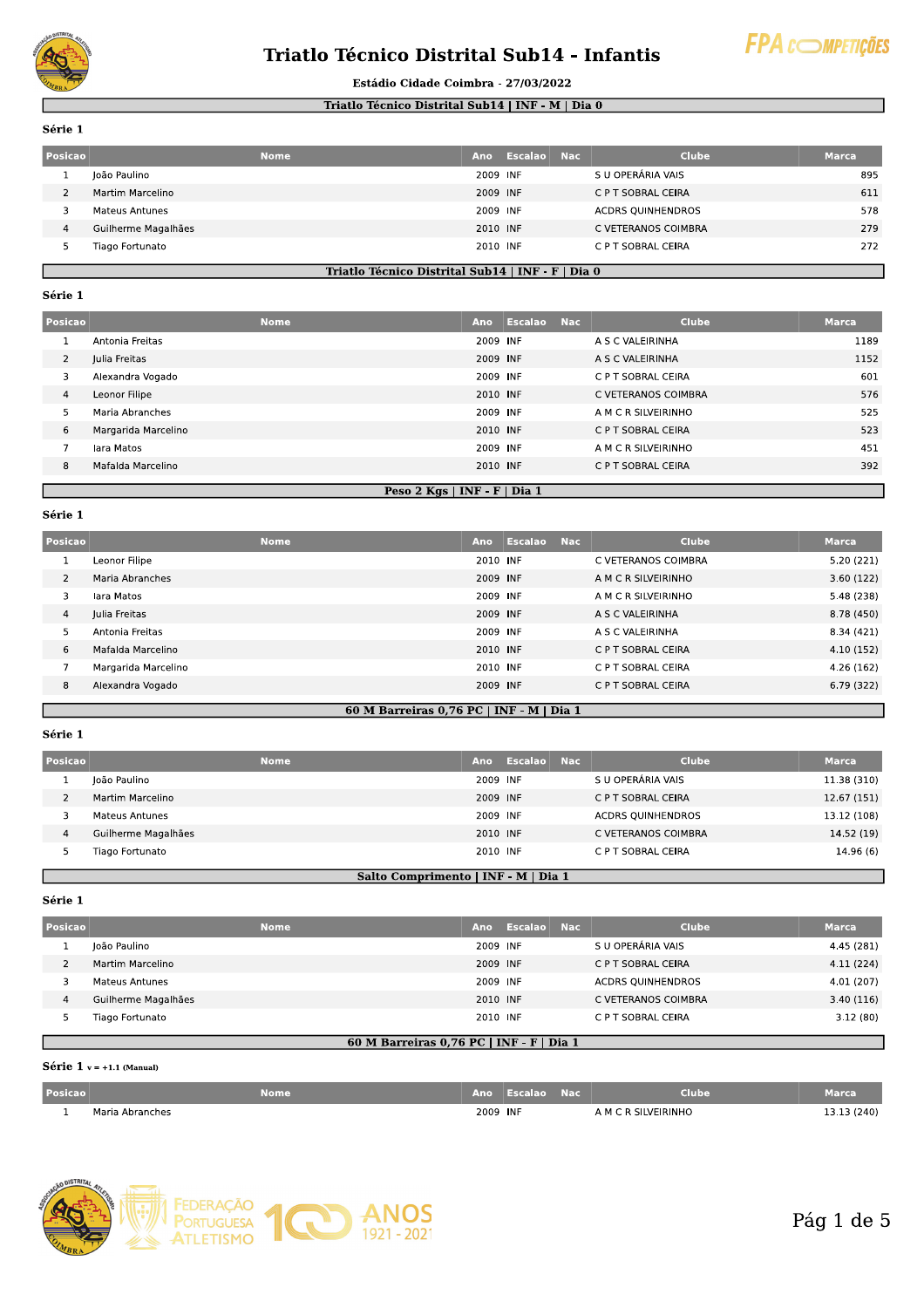

# Triatlo Técnico Distrital Sub14 - Infantis



#### Estádio Cidade Coimbra - 27/03/2022

#### Triatlo Técnico Distrital Sub14 | INF - M | Dia 0

Série 1

| Posicao | <b>Nome</b>           | Ano      | Escalao | <b>Nac</b> | Clube                    | Marca, |
|---------|-----------------------|----------|---------|------------|--------------------------|--------|
|         | João Paulino          | 2009 INF |         |            | S U OPERÁRIA VAIS        | 895    |
|         | Martim Marcelino      | 2009 INF |         |            | C P T SOBRAL CEIRA       | 611    |
|         | <b>Mateus Antunes</b> | 2009 INF |         |            | <b>ACDRS QUINHENDROS</b> | 578    |
| 4       | Guilherme Magalhães   | 2010 INF |         |            | C VETERANOS COIMBRA      | 279    |
|         | Tiago Fortunato       | 2010 INF |         |            | C P T SOBRAL CEIRA       | 272    |

#### Triatlo Técnico Distrital Sub14 | INF - F | Dia 0

#### Série 1

| Posicao        |                                | <b>Nome</b> | Ano      | Escalao Nac |                     | <b>Clube</b>        | <b>Marca</b> |
|----------------|--------------------------------|-------------|----------|-------------|---------------------|---------------------|--------------|
|                | Antonia Freitas                |             | 2009 INF |             |                     | A S C VALEIRINHA    | 1189         |
| $\overline{2}$ | Julia Freitas                  |             | 2009 INF |             |                     | A S C VALEIRINHA    | 1152         |
| 3              | Alexandra Vogado               |             | 2009 INF |             |                     | C P T SOBRAL CEIRA  | 601          |
| 4              | Leonor Filipe                  |             | 2010 INF |             |                     | C VETERANOS COIMBRA | 576          |
| 5.             | Maria Abranches                | 2009 INF    |          |             | A M C R SILVEIRINHO | 525                 |              |
| 6              | Margarida Marcelino            |             | 2010 INF |             |                     | C P T SOBRAL CEIRA  | 523          |
|                | lara Matos                     |             | 2009 INF |             |                     | A M C R SILVEIRINHO | 451          |
| 8              | Mafalda Marcelino              |             | 2010 INF |             |                     | C P T SOBRAL CEIRA  | 392          |
|                | Peso 2 Kgs   INF - $F$   Dia 1 |             |          |             |                     |                     |              |

#### Série 1

| Posicao |                     | <b>Nome</b> | Ano      | Escalao | <b>Nac</b> | <b>Clube</b>        | <b>Marca</b> |
|---------|---------------------|-------------|----------|---------|------------|---------------------|--------------|
|         | Leonor Filipe       |             | 2010 INF |         |            | C VETERANOS COIMBRA | 5.20(221)    |
| 2       | Maria Abranches     |             | 2009 INF |         |            | A M C R SILVEIRINHO | 3.60(122)    |
|         | lara Matos          |             | 2009 INF |         |            | A M C R SILVEIRINHO | 5.48 (238)   |
| 4       | Julia Freitas       |             | 2009 INF |         |            | A S C VALEIRINHA    | 8.78 (450)   |
| ∍       | Antonia Freitas     |             | 2009 INF |         |            | A S C VALEIRINHA    | 8.34 (421)   |
| 6       | Mafalda Marcelino   |             | 2010 INF |         |            | C P T SOBRAL CEIRA  | 4.10(152)    |
|         | Margarida Marcelino |             | 2010 INF |         |            | C P T SOBRAL CEIRA  | 4.26(162)    |
| 8       | Alexandra Vogado    |             | 2009 INF |         |            | C P T SOBRAL CEIRA  | 6.79(322)    |
|         |                     |             |          |         |            |                     |              |

### 60 M Barreiras  $0.76$  PC | INF - M | Dia 1

### Série 1

| Posicao |                     | <b>Nome</b> | Ano      | Escalao Nac | <b>Clube</b>             | <b>Marca</b> |
|---------|---------------------|-------------|----------|-------------|--------------------------|--------------|
|         | João Paulino        |             | 2009 INF |             | S U OPERÁRIA VAIS        | 11.38 (310)  |
|         | Martim Marcelino    |             | 2009 INF |             | C P T SOBRAL CEIRA       | 12.67 (151)  |
|         | Mateus Antunes      |             | 2009 INF |             | <b>ACDRS QUINHENDROS</b> | 13.12 (108)  |
| 4       | Guilherme Magalhães |             | 2010 INF |             | C VETERANOS COIMBRA      | 14.52 (19)   |
|         | Tiago Fortunato     |             | 2010 INF |             | C P T SOBRAL CEIRA       | 14.96 (6)    |

# Salto Comprimento | INF - M | Dia 1

Série 1

| Posicao | <b>Nome</b>         | Ano      | Escalao | - Nac | <b>Clube</b>             | Marca      |
|---------|---------------------|----------|---------|-------|--------------------------|------------|
|         | João Paulino        | 2009 INF |         |       | S U OPERÁRIA VAIS        | 4.45 (281) |
|         | Martim Marcelino    | 2009 INF |         |       | C P T SOBRAL CEIRA       | 4.11(224)  |
|         | Mateus Antunes      | 2009 INF |         |       | <b>ACDRS QUINHENDROS</b> | 4.01 (207) |
| 4       | Guilherme Magalhães | 2010 INF |         |       | C VETERANOS COIMBRA      | 3.40(116)  |
|         | Tiago Fortunato     | 2010 INF |         |       | C P T SOBRAL CEIRA       | 3.12(80)   |

#### 60 M Barreiras 0,76 PC | INF - F | Dia 1

# Série 1  $v = +1.1$  (Manual)

| <b>Posicao</b> |                      | Nome | Ano      | : ET 6 | Nac | Clube              | Marca   |
|----------------|----------------------|------|----------|--------|-----|--------------------|---------|
|                | ı Abranches<br>Maria |      | 2009 INF |        |     | <b>SILVEIRINHO</b> | 3 (240) |

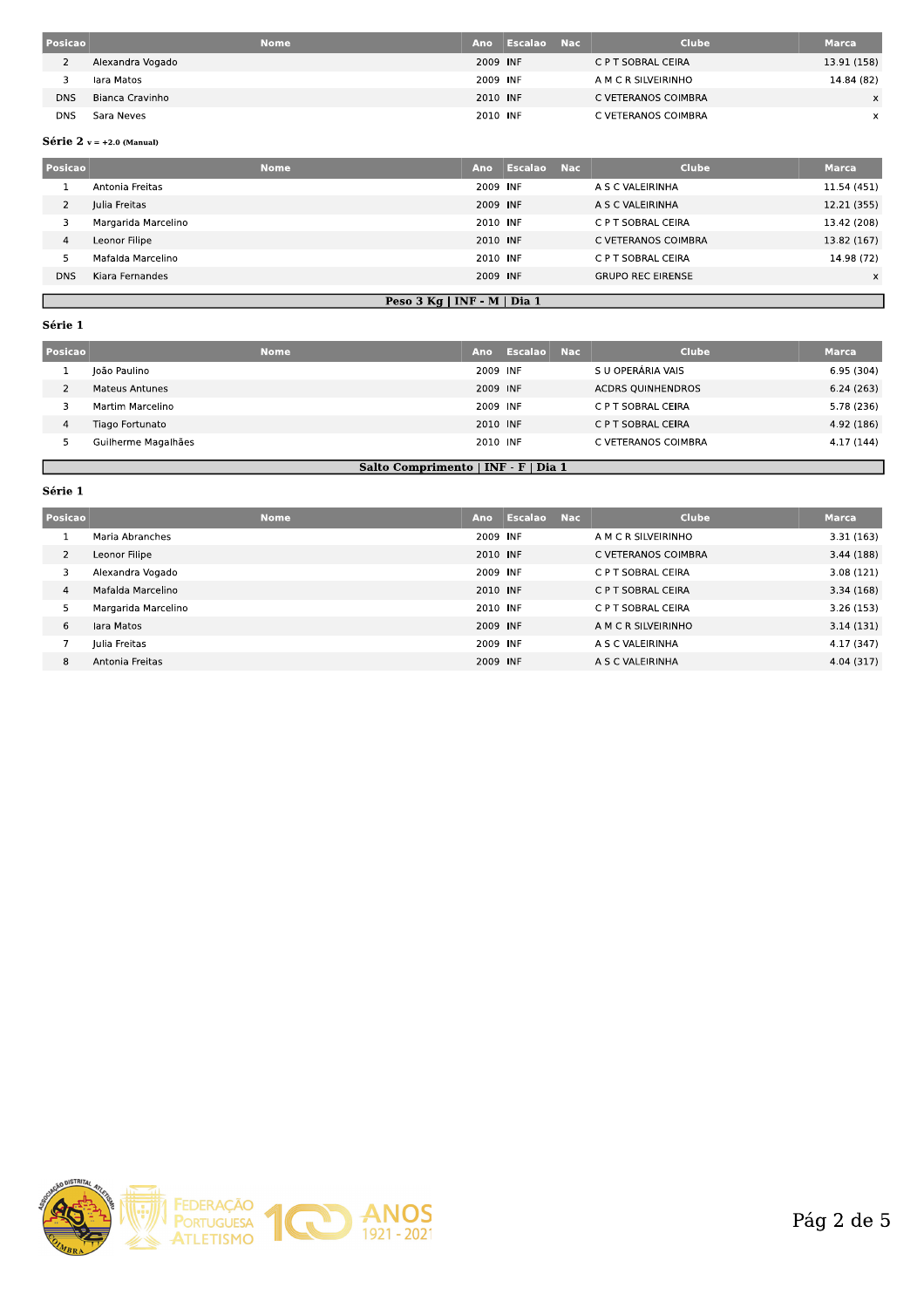| Posicao    | <b>Nome</b>      | Ano      | Escalao | - Nac | <b>Clube</b>        | <b>Marca</b> |
|------------|------------------|----------|---------|-------|---------------------|--------------|
|            | Alexandra Vogado | 2009 INF |         |       | C P T SOBRAL CEIRA  | 13.91 (158)  |
|            | lara Matos       | 2009 INF |         |       | A M C R SILVEIRINHO | 14.84 (82)   |
| <b>DNS</b> | Bianca Cravinho  | 2010 INF |         |       | C VETERANOS COIMBRA | $\times$     |
| DNS        | Sara Neves       | 2010 INF |         |       | C VETERANOS COIMBRA | x            |
|            |                  |          |         |       |                     |              |

### Série 2  $v = +2.0$  (Manual)

| Posicao        |                               | <b>Nome</b> | Ano      | Escalao | <b>Nac</b> | <b>Clube</b>             | <b>Marca</b> |
|----------------|-------------------------------|-------------|----------|---------|------------|--------------------------|--------------|
|                | Antonia Freitas               |             | 2009 INF |         |            | A S C VALEIRINHA         | 11.54 (451)  |
| $\overline{2}$ | Julia Freitas                 |             | 2009 INF |         |            | A S C VALEIRINHA         | 12.21 (355)  |
| 3              | Margarida Marcelino           |             | 2010 INF |         |            | C P T SOBRAL CEIRA       | 13.42 (208)  |
| $\overline{4}$ | Leonor Filipe                 |             | 2010 INF |         |            | C VETERANOS COIMBRA      | 13.82 (167)  |
|                | Mafalda Marcelino             |             | 2010 INF |         |            | C P T SOBRAL CEIRA       | 14.98 (72)   |
| <b>DNS</b>     | Kiara Fernandes               |             | 2009 INF |         |            | <b>GRUPO REC EIRENSE</b> | X            |
|                | Peso $3$ Kg   INF - M   Dia 1 |             |          |         |            |                          |              |

# Série 1

| Posicao |                                     | <b>Nome</b> | Ano                | Escalao    | - Nac | <b>Clube</b>             | <b>Marca</b> |  |  |
|---------|-------------------------------------|-------------|--------------------|------------|-------|--------------------------|--------------|--|--|
|         | João Paulino                        |             | 2009 INF           |            |       | S U OPERÁRIA VAIS        | 6.95(304)    |  |  |
|         | <b>Mateus Antunes</b>               |             | 2009 INF           |            |       | <b>ACDRS QUINHENDROS</b> | 6.24(263)    |  |  |
| 4       | Martim Marcelino                    | 2009 INF    | C P T SOBRAL CEIRA | 5.78 (236) |       |                          |              |  |  |
|         | Tiago Fortunato                     |             | 2010 INF           |            |       | C P T SOBRAL CEIRA       | 4.92 (186)   |  |  |
|         | Guilherme Magalhães                 |             | 2010 INF           |            |       | C VETERANOS COIMBRA      | 4.17(144)    |  |  |
|         |                                     |             |                    |            |       |                          |              |  |  |
|         | Salto Comprimento   INF - F   Dia 1 |             |                    |            |       |                          |              |  |  |

### Série 1

Л

I

| Posicao        | <b>Nome</b>         | Ano      | Escalao | <b>Nac</b> | <b>Clube</b>        | <b>Marca</b> |
|----------------|---------------------|----------|---------|------------|---------------------|--------------|
|                | Maria Abranches     | 2009 INF |         |            | A M C R SILVEIRINHO | 3.31(163)    |
| $\overline{2}$ | Leonor Filipe       | 2010 INF |         |            | C VETERANOS COIMBRA | 3.44(188)    |
| 3              | Alexandra Vogado    | 2009 INF |         |            | C P T SOBRAL CEIRA  | 3.08(121)    |
| $\overline{4}$ | Mafalda Marcelino   | 2010 INF |         |            | C P T SOBRAL CEIRA  | 3.34(168)    |
| 5              | Margarida Marcelino | 2010 INF |         |            | C P T SOBRAL CEIRA  | 3.26(153)    |
| 6              | lara Matos          | 2009 INF |         |            | A M C R SILVEIRINHO | 3.14(131)    |
|                | Julia Freitas       | 2009 INF |         |            | A S C VALEIRINHA    | 4.17 (347)   |
| 8              | Antonia Freitas     | 2009 INF |         |            | A S C VALEIRINHA    | 4.04 (317)   |

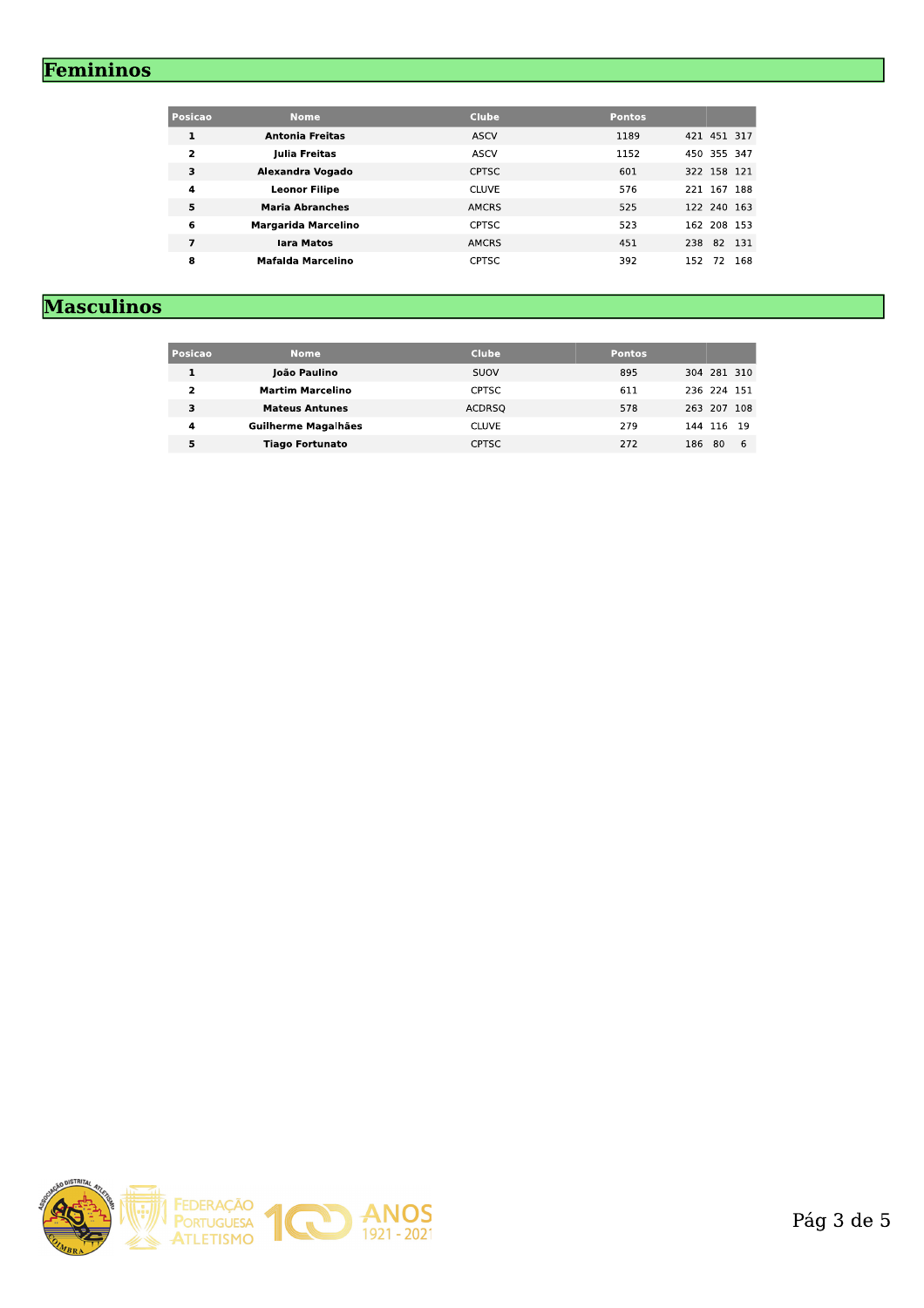# Femininos

| Posicao                 | <b>Nome</b>                | <b>Clube</b> | <b>Pontos</b> |        |             |       |
|-------------------------|----------------------------|--------------|---------------|--------|-------------|-------|
| $\mathbf{1}$            | <b>Antonia Freitas</b>     | <b>ASCV</b>  | 1189          |        | 421 451 317 |       |
| $\overline{\mathbf{2}}$ | Julia Freitas              | ASCV         | 1152          |        | 450 355 347 |       |
| 3                       | Alexandra Vogado           | <b>CPTSC</b> | 601           |        | 322 158 121 |       |
| 4                       | <b>Leonor Filipe</b>       | <b>CLUVE</b> | 576           | 221    | 167 188     |       |
| 5                       | <b>Maria Abranches</b>     | <b>AMCRS</b> | 525           |        | 122 240 163 |       |
| 6                       | <b>Margarida Marcelino</b> | <b>CPTSC</b> | 523           |        | 162 208 153 |       |
| 7                       | lara Matos                 | <b>AMCRS</b> | 451           | 238 82 |             | - 131 |
| 8                       | <b>Mafalda Marcelino</b>   | <b>CPTSC</b> | 392           | 152    | 72          | 168   |

# **Masculinos**

| Posicao | <b>Nome</b>             | <b>Clube</b>  | <b>Pontos</b> |                 |  |  |  |  |
|---------|-------------------------|---------------|---------------|-----------------|--|--|--|--|
| 1       | João Paulino            | SUOV          | 895           | 304 281 310     |  |  |  |  |
| 2       | <b>Martim Marcelino</b> | <b>CPTSC</b>  | 611           | 236 224 151     |  |  |  |  |
| 3       | <b>Mateus Antunes</b>   | <b>ACDRSO</b> | 578           | 263 207 108     |  |  |  |  |
| 4       | Guilherme Magalhães     | <b>CLUVE</b>  | 279           | 144 116 19      |  |  |  |  |
| 5       | <b>Tiago Fortunato</b>  | <b>CPTSC</b>  | 272           | 186<br>80<br>-6 |  |  |  |  |
|         |                         |               |               |                 |  |  |  |  |

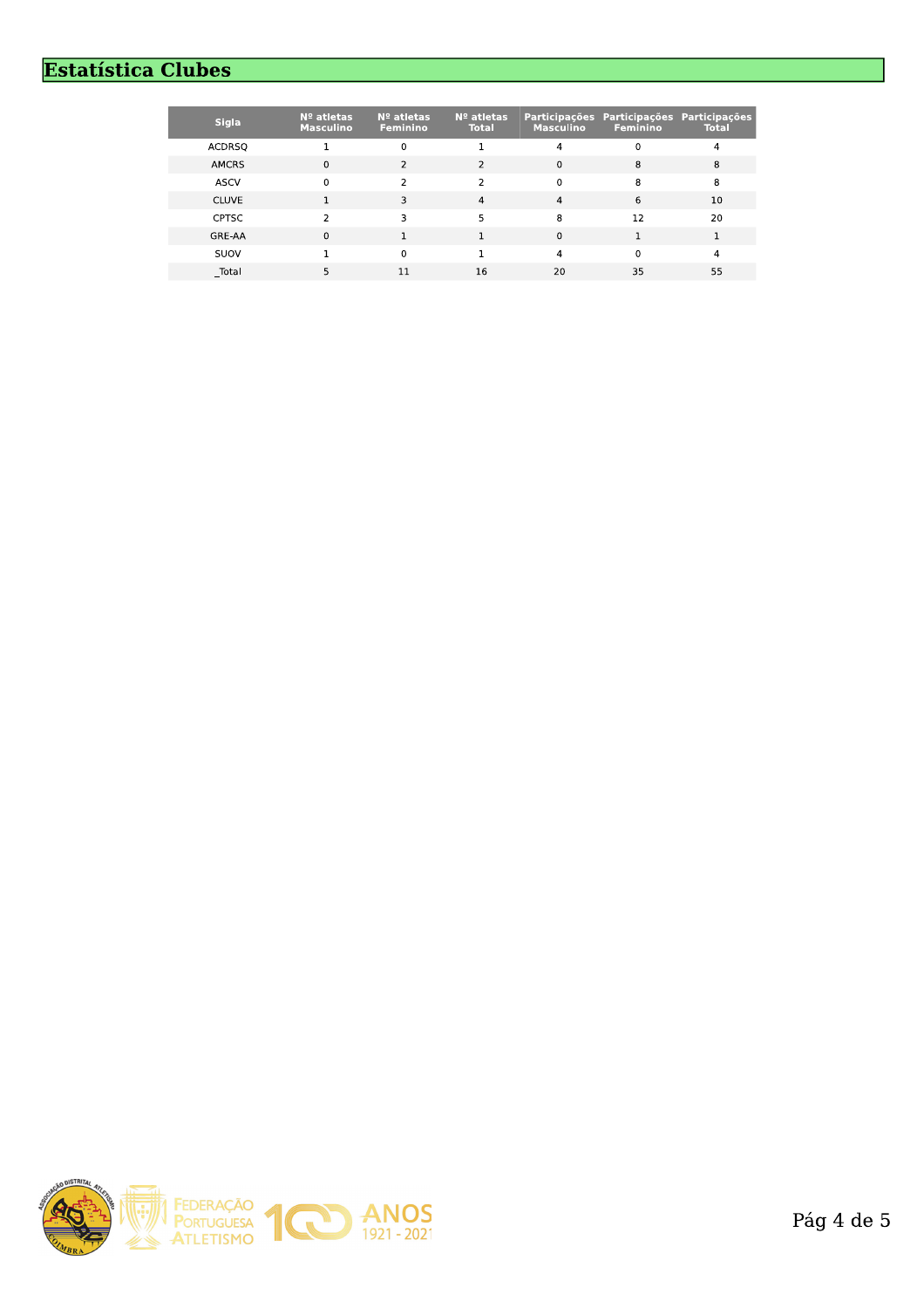# **Estatística Clubes**

| <b>Sigla</b>  | $No$ atletas<br><b>Masculino</b> | $No$ atletas<br><b>Feminino</b> | $No$ atletas<br><b>Total</b> | <b>Masculino</b> | Participações Participações Participações<br><b>Feminino</b> | <b>Total</b> |
|---------------|----------------------------------|---------------------------------|------------------------------|------------------|--------------------------------------------------------------|--------------|
| <b>ACDRSQ</b> |                                  | 0                               |                              | 4                | 0                                                            | 4            |
| <b>AMCRS</b>  | $\Omega$                         |                                 | $\mathcal{P}$                | $\Omega$         | 8                                                            | 8            |
| <b>ASCV</b>   | $\Omega$                         | $\mathcal{P}$                   | $\mathcal{P}$                | $\mathbf{0}$     | 8                                                            | 8            |
| <b>CLUVE</b>  |                                  |                                 | 4                            | 4                | 6                                                            | 10           |
| <b>CPTSC</b>  | 2                                | 3                               | 5                            | 8                | 12                                                           | 20           |
| GRE-AA        | $\Omega$                         |                                 |                              | $\mathbf{0}$     |                                                              |              |
| SUOV          |                                  | <sup>0</sup>                    |                              | 4                | $\Omega$                                                     | 4            |
| Total         |                                  |                                 | 16                           | 20               | 35                                                           | 55           |